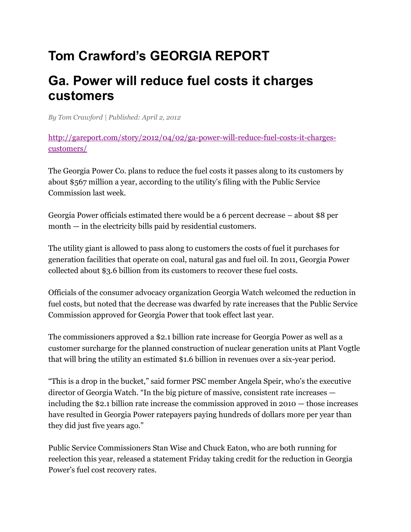## **Tom Crawford's GEORGIA REPORT**

## **Ga. Power will reduce fuel costs it charges customers**

*B[y Tom Crawford](http://gareport.com/author/tomcrawford/) | Published: April 2, 2012*

[http://gareport.com/story/2012/04/02/ga-power-will-reduce-fuel-costs-it-charges](http://gareport.com/story/2012/04/02/ga-power-will-reduce-fuel-costs-it-charges-customers/)[customers/](http://gareport.com/story/2012/04/02/ga-power-will-reduce-fuel-costs-it-charges-customers/)

The Georgia Power Co. plans to reduce the fuel costs it passes along to its customers by about \$567 million a year, according to the utility's filing with the Public Service Commission last week.

Georgia Power officials estimated there would be a 6 percent decrease – about \$8 per month — in the electricity bills paid by residential customers.

The utility giant is allowed to pass along to customers the costs of fuel it purchases for generation facilities that operate on coal, natural gas and fuel oil. In 2011, Georgia Power collected about \$3.6 billion from its customers to recover these fuel costs.

Officials of the consumer advocacy organization Georgia Watch welcomed the reduction in fuel costs, but noted that the decrease was dwarfed by rate increases that the Public Service Commission approved for Georgia Power that took effect last year.

The commissioners approved a \$2.1 billion rate increase for Georgia Power as well as a customer surcharge for the planned construction of nuclear generation units at Plant Vogtle that will bring the utility an estimated \$1.6 billion in revenues over a six-year period.

"This is a drop in the bucket," said former PSC member Angela Speir, who's the executive director of Georgia Watch. "In the big picture of massive, consistent rate increases including the \$2.1 billion rate increase the commission approved in 2010 — those increases have resulted in Georgia Power ratepayers paying hundreds of dollars more per year than they did just five years ago."

Public Service Commissioners Stan Wise and Chuck Eaton, who are both running for reelection this year, released a statement Friday taking credit for the reduction in Georgia Power's fuel cost recovery rates.